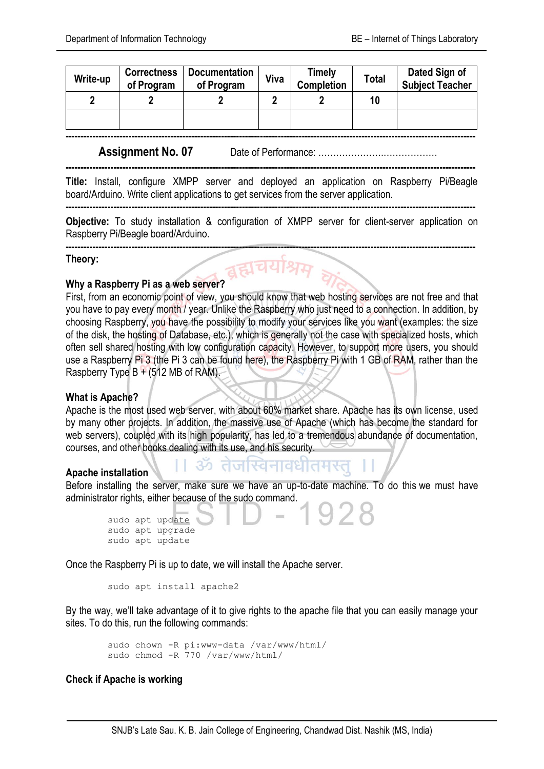| Write-up | <b>Correctness</b><br>of Program | <b>Documentation</b><br>of Program | Viva | Timely<br><b>Completion</b> | <b>Total</b> | Dated Sign of<br><b>Subject Teacher</b> |
|----------|----------------------------------|------------------------------------|------|-----------------------------|--------------|-----------------------------------------|
|          |                                  |                                    |      |                             | 10           |                                         |
|          |                                  |                                    |      |                             |              |                                         |

**-----------------------------------------------------------------------------------------------------------------------------------------**

**-----------------------------------------------------------------------------------------------------------------------------------------**

**Assignment No. 07** Date of Performance: ………………….………………

**Title:** Install, configure XMPP server and deployed an application on Raspberry Pi/Beagle board/Arduino. Write client applications to get services from the server application.

**Objective:** To study installation & configuration of XMPP server for client-server application on Raspberry Pi/Beagle board/Arduino.

**-----------------------------------------------------------------------------------------------------------------------------------------**

**-----------------------------------------------------------------------------------------------------------------------------------------**

**Theory:**

# **Why a Raspberry Pi as a web server?**

First, from an economic point of view, you should know that web hosting services are not free and that you have to pay every month / year. Unlike the Raspberry who just need to a connection. In addition, by choosing Raspberry, you have the possibility to modify your services like you want (examples: the size of the disk, the hosting of Database, etc.), which is generally not the case with specialized hosts, which often sell shared hosting with low configuration capacity. However, to support more users, you should use a Raspberry Pi 3 (the Pi 3 can be found here), the Raspberry Pi with 1 GB of RAM, rather than the Raspberry Type  $B + (512 \text{ MB of RAM})$ .

# **What is Apache?**

Apache is the most used web server, with about 60% market share. Apache has its own license, used by many other projects. In addition, the massive use of Apache (which has become the standard for web servers), coupled with its high popularity, has led to a tremendous abundance of documentation, courses, and other books dealing with its use, and his security.

# **Apache installation**

Before installing the server, make sure we have an up-to-date machine. To do this we must have administrator rights, either because of the sudo command.

।। ॐ तेजस्विनावधीतमस्त्

```
sudo apt update
sudo apt upgrade
sudo apt update
```
Once the Raspberry Pi is up to date, we will install the Apache server.

sudo apt install apache2

By the way, we'll take advantage of it to give rights to the apache file that you can easily manage your sites. To do this, run the following commands:

```
sudo chown -R pi:www-data /var/www/html/
sudo chmod -R 770 /var/www/html/
```
# **Check if Apache is working**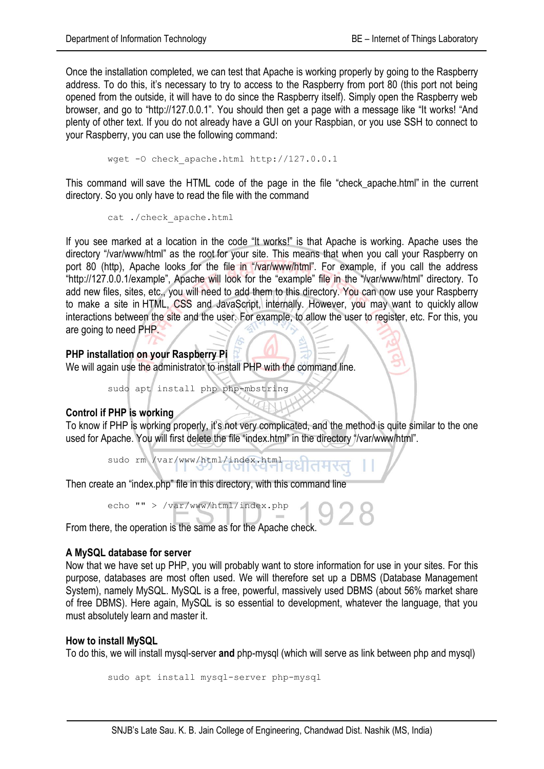Once the installation completed, we can test that Apache is working properly by going to the Raspberry address. To do this, it's necessary to try to access to the Raspberry from port 80 (this port not being opened from the outside, it will have to do since the Raspberry itself). Simply open the Raspberry web browser, and go to "http://127.0.0.1". You should then get a page with a message like "It works! "And plenty of other text. If you do not already have a GUI on your Raspbian, or you use SSH to connect to your Raspberry, you can use the following command:

wget -0 check apache.html http://127.0.0.1

This command will save the HTML code of the page in the file "check\_apache.html" in the current directory. So you only have to read the file with the command

cat ./check\_apache.html

If you see marked at a location in the code "It works!" is that Apache is working. Apache uses the directory "/var/www/html" as the root for your site. This means that when you call your Raspberry on port 80 (http), Apache looks for the file in "/var/www/html". For example, if you call the address "http://127.0.0.1/example", Apache will look for the "example" file in the "/var/www/html" directory. To add new files, sites, etc., you will need to add them to this directory. You can now use your Raspberry to make a site in HTML, CSS and JavaScript, internally. However, you may want to quickly allow interactions between the site and the user. For example, to allow the user to register, etc. For this, you are going to need PHP.

**PHP installation on your Raspberry Pi** We will again use the administrator to install PHP with the command line.

sudo apt install php php-mbstring

#### **Control if PHP is working**

To know if PHP is working properly, it's not very complicated, and the method is quite similar to the one used for Apache. You will first delete the file "index.html" in the directory "/var/www/html".

sudo rm /var/www/html/index.html

Then create an "index.php" file in this directory, with this command line

echo "" > /var/www/html/index.php

From there, the operation is the same as for the Apache check.

# **A MySQL database for server**

Now that we have set up PHP, you will probably want to store information for use in your sites. For this purpose, databases are most often used. We will therefore set up a DBMS (Database Management System), namely MySQL. MySQL is a free, powerful, massively used DBMS (about 56% market share of free DBMS). Here again, MySQL is so essential to development, whatever the language, that you must absolutely learn and master it.

# **How to install MySQL**

To do this, we will install mysql-server **and** php-mysql (which will serve as link between php and mysql)

```
sudo apt install mysql-server php-mysql
```